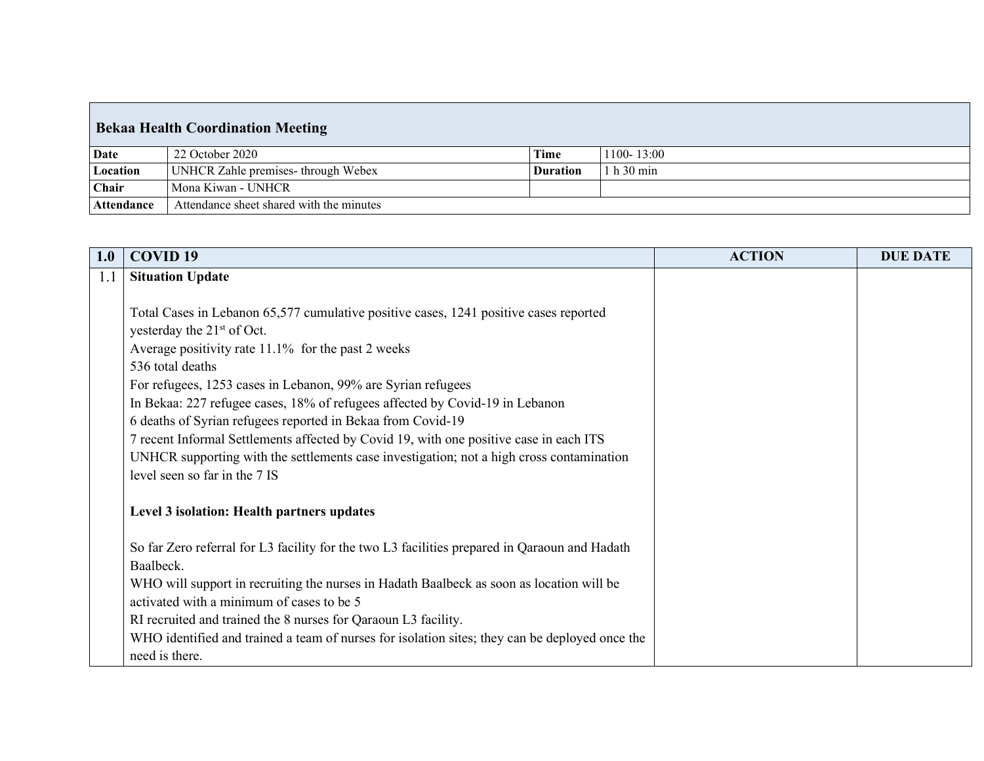| <b>Bekaa Health Coordination Meeting</b> |                                          |                 |                |  |  |  |  |
|------------------------------------------|------------------------------------------|-----------------|----------------|--|--|--|--|
| Date                                     | 22 October 2020                          | <b>Time</b>     | $1100 - 13:00$ |  |  |  |  |
| Location                                 | UNHCR Zahle premises-through Webex       | <b>Duration</b> | 1 h 30 min     |  |  |  |  |
| Chair                                    | Mona Kiwan - UNHCR                       |                 |                |  |  |  |  |
| Attendance                               | Attendance sheet shared with the minutes |                 |                |  |  |  |  |

| 1.0 | <b>COVID 19</b>                                                                                | <b>ACTION</b> | <b>DUE DATE</b> |
|-----|------------------------------------------------------------------------------------------------|---------------|-----------------|
| 1.1 | <b>Situation Update</b>                                                                        |               |                 |
|     |                                                                                                |               |                 |
|     | Total Cases in Lebanon 65,577 cumulative positive cases, 1241 positive cases reported          |               |                 |
|     | yesterday the 21 <sup>st</sup> of Oct.                                                         |               |                 |
|     | Average positivity rate 11.1% for the past 2 weeks                                             |               |                 |
|     | 536 total deaths                                                                               |               |                 |
|     | For refugees, 1253 cases in Lebanon, 99% are Syrian refugees                                   |               |                 |
|     | In Bekaa: 227 refugee cases, 18% of refugees affected by Covid-19 in Lebanon                   |               |                 |
|     | 6 deaths of Syrian refugees reported in Bekaa from Covid-19                                    |               |                 |
|     | 7 recent Informal Settlements affected by Covid 19, with one positive case in each ITS         |               |                 |
|     | UNHCR supporting with the settlements case investigation; not a high cross contamination       |               |                 |
|     | level seen so far in the 7 IS                                                                  |               |                 |
|     |                                                                                                |               |                 |
|     | Level 3 isolation: Health partners updates                                                     |               |                 |
|     | So far Zero referral for L3 facility for the two L3 facilities prepared in Qaraoun and Hadath  |               |                 |
|     | Baalbeck.                                                                                      |               |                 |
|     | WHO will support in recruiting the nurses in Hadath Baalbeck as soon as location will be       |               |                 |
|     | activated with a minimum of cases to be 5                                                      |               |                 |
|     | RI recruited and trained the 8 nurses for Qaraoun L3 facility.                                 |               |                 |
|     | WHO identified and trained a team of nurses for isolation sites; they can be deployed once the |               |                 |
|     | need is there.                                                                                 |               |                 |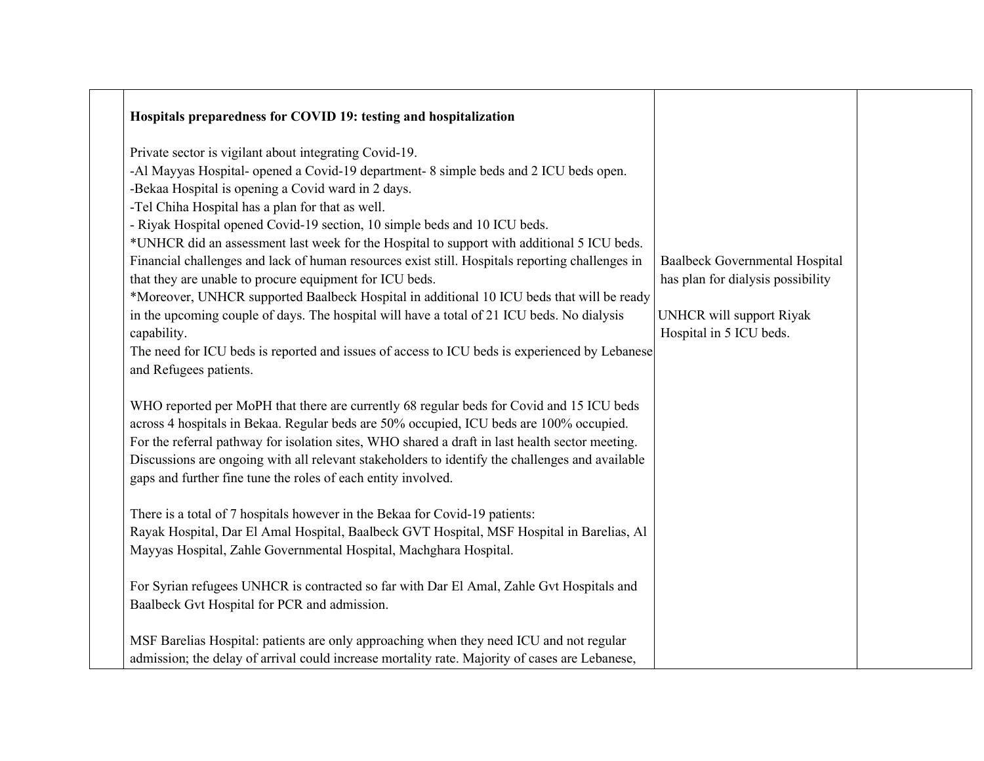| Hospitals preparedness for COVID 19: testing and hospitalization                                                                                                                                                                                                                                                                                                                                                                                                                                                                                                                                                                                                                                                                                                                                                                                                                                                                        |                                                                                                                                          |
|-----------------------------------------------------------------------------------------------------------------------------------------------------------------------------------------------------------------------------------------------------------------------------------------------------------------------------------------------------------------------------------------------------------------------------------------------------------------------------------------------------------------------------------------------------------------------------------------------------------------------------------------------------------------------------------------------------------------------------------------------------------------------------------------------------------------------------------------------------------------------------------------------------------------------------------------|------------------------------------------------------------------------------------------------------------------------------------------|
| Private sector is vigilant about integrating Covid-19.<br>-Al Mayyas Hospital- opened a Covid-19 department- 8 simple beds and 2 ICU beds open.<br>-Bekaa Hospital is opening a Covid ward in 2 days.<br>-Tel Chiha Hospital has a plan for that as well.<br>- Riyak Hospital opened Covid-19 section, 10 simple beds and 10 ICU beds.<br>*UNHCR did an assessment last week for the Hospital to support with additional 5 ICU beds.<br>Financial challenges and lack of human resources exist still. Hospitals reporting challenges in<br>that they are unable to procure equipment for ICU beds.<br>*Moreover, UNHCR supported Baalbeck Hospital in additional 10 ICU beds that will be ready<br>in the upcoming couple of days. The hospital will have a total of 21 ICU beds. No dialysis<br>capability.<br>The need for ICU beds is reported and issues of access to ICU beds is experienced by Lebanese<br>and Refugees patients. | <b>Baalbeck Governmental Hospital</b><br>has plan for dialysis possibility<br><b>UNHCR</b> will support Riyak<br>Hospital in 5 ICU beds. |
| WHO reported per MoPH that there are currently 68 regular beds for Covid and 15 ICU beds<br>across 4 hospitals in Bekaa. Regular beds are 50% occupied, ICU beds are 100% occupied.<br>For the referral pathway for isolation sites, WHO shared a draft in last health sector meeting.<br>Discussions are ongoing with all relevant stakeholders to identify the challenges and available<br>gaps and further fine tune the roles of each entity involved.                                                                                                                                                                                                                                                                                                                                                                                                                                                                              |                                                                                                                                          |
| There is a total of 7 hospitals however in the Bekaa for Covid-19 patients:<br>Rayak Hospital, Dar El Amal Hospital, Baalbeck GVT Hospital, MSF Hospital in Barelias, Al<br>Mayyas Hospital, Zahle Governmental Hospital, Machghara Hospital.                                                                                                                                                                                                                                                                                                                                                                                                                                                                                                                                                                                                                                                                                           |                                                                                                                                          |
| For Syrian refugees UNHCR is contracted so far with Dar El Amal, Zahle Gvt Hospitals and<br>Baalbeck Gvt Hospital for PCR and admission.                                                                                                                                                                                                                                                                                                                                                                                                                                                                                                                                                                                                                                                                                                                                                                                                |                                                                                                                                          |
| MSF Barelias Hospital: patients are only approaching when they need ICU and not regular<br>admission; the delay of arrival could increase mortality rate. Majority of cases are Lebanese,                                                                                                                                                                                                                                                                                                                                                                                                                                                                                                                                                                                                                                                                                                                                               |                                                                                                                                          |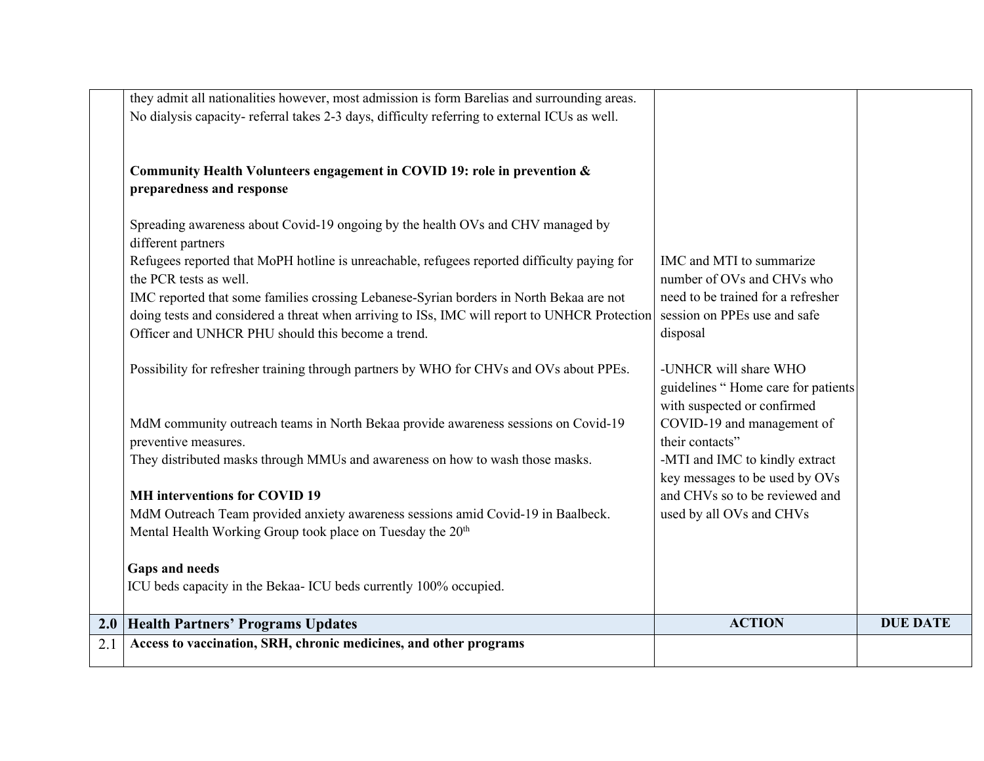| Access to vaccination, SRH, chronic medicines, and other programs                                                                                  |                                                           |                 |
|----------------------------------------------------------------------------------------------------------------------------------------------------|-----------------------------------------------------------|-----------------|
| 2.0 Health Partners' Programs Updates                                                                                                              | <b>ACTION</b>                                             | <b>DUE DATE</b> |
| ICU beds capacity in the Bekaa- ICU beds currently 100% occupied.                                                                                  |                                                           |                 |
| <b>Gaps and needs</b>                                                                                                                              |                                                           |                 |
|                                                                                                                                                    |                                                           |                 |
| Mental Health Working Group took place on Tuesday the 20 <sup>th</sup>                                                                             |                                                           |                 |
| MdM Outreach Team provided anxiety awareness sessions amid Covid-19 in Baalbeck.                                                                   | used by all OVs and CHVs                                  |                 |
| <b>MH</b> interventions for COVID 19                                                                                                               | and CHVs so to be reviewed and                            |                 |
|                                                                                                                                                    | key messages to be used by OVs                            |                 |
| They distributed masks through MMUs and awareness on how to wash those masks.                                                                      | -MTI and IMC to kindly extract                            |                 |
| preventive measures.                                                                                                                               | their contacts"                                           |                 |
| MdM community outreach teams in North Bekaa provide awareness sessions on Covid-19                                                                 | with suspected or confirmed<br>COVID-19 and management of |                 |
|                                                                                                                                                    | guidelines "Home care for patients                        |                 |
| Possibility for refresher training through partners by WHO for CHVs and OVs about PPEs.                                                            | -UNHCR will share WHO                                     |                 |
|                                                                                                                                                    |                                                           |                 |
| doing tests and considered a threat when arriving to ISs, IMC will report to UNHCR Protection<br>Officer and UNHCR PHU should this become a trend. | session on PPEs use and safe<br>disposal                  |                 |
| IMC reported that some families crossing Lebanese-Syrian borders in North Bekaa are not                                                            | need to be trained for a refresher                        |                 |
| the PCR tests as well.                                                                                                                             | number of OVs and CHVs who                                |                 |
| Refugees reported that MoPH hotline is unreachable, refugees reported difficulty paying for                                                        | IMC and MTI to summarize                                  |                 |
| different partners                                                                                                                                 |                                                           |                 |
| Spreading awareness about Covid-19 ongoing by the health OVs and CHV managed by                                                                    |                                                           |                 |
| preparedness and response                                                                                                                          |                                                           |                 |
| Community Health Volunteers engagement in COVID 19: role in prevention &                                                                           |                                                           |                 |
|                                                                                                                                                    |                                                           |                 |
| No dialysis capacity-referral takes 2-3 days, difficulty referring to external ICUs as well.                                                       |                                                           |                 |
| they admit all nationalities however, most admission is form Barelias and surrounding areas.                                                       |                                                           |                 |